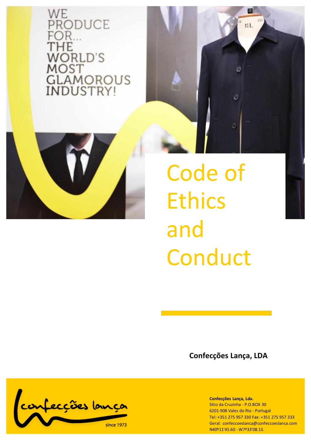WE WE<br>PRODUCE<br>FOR...<br>THE<br>WORLD'S<br>MOST<br>GLAMOROUS<br>INDUSTRY!



# Code of **Ethics** and Conduct

KL.

Ö

Ò

**Confecções Lança, LDA**

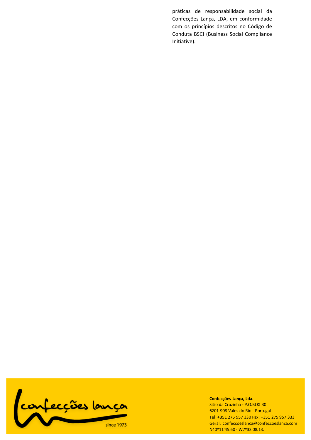práticas de responsabilidade social da Confecções Lança, LDA, em conformidade com os princípios descritos no Código de Conduta BSCI (Business Social Compliance Initiative).

O presente documento descreve as boas

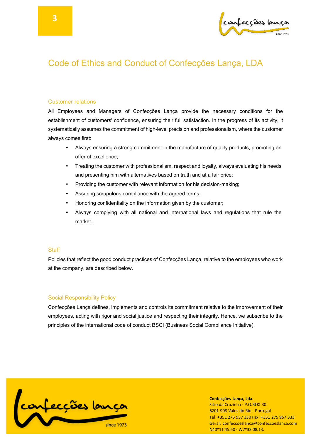

# Code of Ethics and Conduct of Confecções Lança, LDA

# Customer relations

All Employees and Managers of Confecções Lança provide the necessary conditions for the establishment of customers' confidence, ensuring their full satisfaction. In the progress of its activity, it systematically assumes the commitment of high-level precision and professionalism, where the customer always comes first:

- Always ensuring a strong commitment in the manufacture of quality products, promoting an offer of excellence;
- Treating the customer with professionalism, respect and loyalty, always evaluating his needs and presenting him with alternatives based on truth and at a fair price;
- Providing the customer with relevant information for his decision-making;
- Assuring scrupulous compliance with the agreed terms:
- Honoring confidentiality on the information given by the customer;
- Always complying with all national and international laws and regulations that rule the market.

# **Staff**

Policies that reflect the good conduct practices of Confecções Lança, relative to the employees who work at the company, are described below.

# Social Responsibility Policy

Confecções Lança defines, implements and controls its commitment relative to the improvement of their employees, acting with rigor and social justice and respecting their integrity. Hence, we subscribe to the principles of the international code of conduct BSCI (Business Social Compliance Initiative).

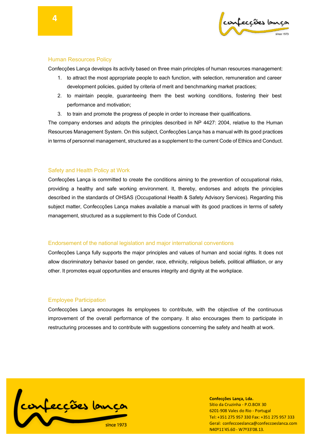

# Human Resources Policy

Confecções Lança develops its activity based on three main principles of human resources management:

- 1. to attract the most appropriate people to each function, with selection, remuneration and career development policies, guided by criteria of merit and benchmarking market practices;
- 2. to maintain people, guaranteeing them the best working conditions, fostering their best performance and motivation;
- 3. to train and promote the progress of people in order to increase their qualifications.

The company endorses and adopts the principles described in NP 4427: 2004, relative to the Human Resources Management System. On this subject, Confecções Lança has a manual with its good practices in terms of personnel management, structured as a supplement to the current Code of Ethics and Conduct.

# Safety and Health Policy at Work

Confecções Lança is committed to create the conditions aiming to the prevention of occupational risks, providing a healthy and safe working environment. It, thereby, endorses and adopts the principles described in the standards of OHSAS (Occupational Health & Safety Advisory Services). Regarding this subject matter, Confeccções Lança makes available a manual with its good practices in terms of safety management, structured as a supplement to this Code of Conduct.

# Endorsement of the national legislation and major international conventions

Confecções Lança fully supports the major principles and values of human and social rights. It does not allow discriminatory behavior based on gender, race, ethnicity, religious beliefs, political affiliation, or any other. It promotes equal opportunities and ensures integrity and dignity at the workplace.

#### Employee Participation

Confeccções Lança encourages its employees to contribute, with the objective of the continuous improvement of the overall performance of the company. It also encourages them to participate in restructuring processes and to contribute with suggestions concerning the safety and health at work.

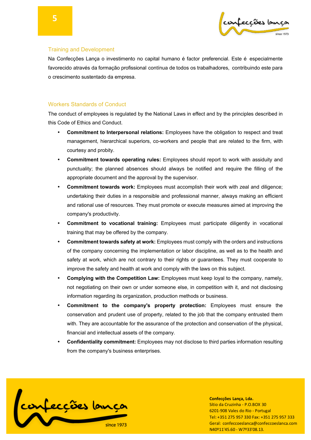confecções lan

#### Training and Development

Na Confecções Lança o investimento no capital humano é factor preferencial. Este é especialmente favorecido através da formação profissional contínua de todos os trabalhadores, contribuindo este para o crescimento sustentado da empresa.

# Workers Standards of Conduct

The conduct of employees is regulated by the National Laws in effect and by the principles described in this Code of Ethics and Conduct.

- **Commitment to Interpersonal relations:** Employees have the obligation to respect and treat management, hierarchical superiors, co-workers and people that are related to the firm, with courtesy and probity.
- **Commitment towards operating rules:** Employees should report to work with assiduity and punctuality; the planned absences should always be notified and require the filling of the appropriate document and the approval by the supervisor.
- **Commitment towards work:** Employees must accomplish their work with zeal and diligence; undertaking their duties in a responsible and professional manner, always making an efficient and rational use of resources. They must promote or execute measures aimed at improving the company's productivity.
- **Commitment to vocational training:** Employees must participate diligently in vocational training that may be offered by the company.
- **Commitment towards safety at work:** Employees must comply with the orders and instructions of the company concerning the implementation or labor discipline, as well as to the health and safety at work, which are not contrary to their rights or guarantees. They must cooperate to improve the safety and health at work and comply with the laws on this subject.
- **Complying with the Competition Law:** Employees must keep loyal to the company, namely, not negotiating on their own or under someone else, in competition with it, and not disclosing information regarding its organization, production methods or business.
- **Commitment to the company's property protection:** Employees must ensure the conservation and prudent use of property, related to the job that the company entrusted them with. They are accountable for the assurance of the protection and conservation of the physical, financial and intellectual assets of the company.
- **Confidentiality commitment:** Employees may not disclose to third parties information resulting from the company's business enterprises.

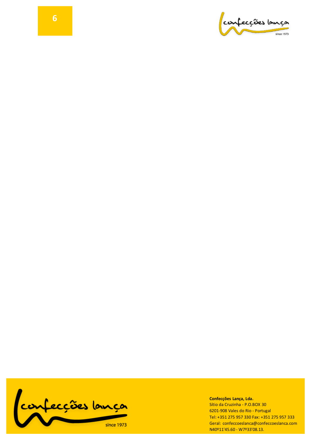

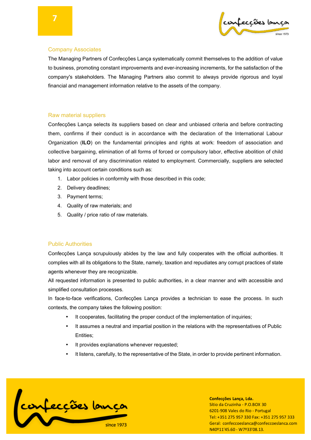confecções lança

# Company Associates

The Managing Partners of Confecções Lança systematically commit themselves to the addition of value to business, promoting constant improvements and ever-increasing increments, for the satisfaction of the company's stakeholders. The Managing Partners also commit to always provide rigorous and loyal financial and management information relative to the assets of the company.

#### Raw material suppliers

Confecções Lança selects its suppliers based on clear and unbiased criteria and before contracting them, confirms if their conduct is in accordance with the declaration of the International Labour Organization (**ILO**) on the fundamental principles and rights at work: freedom of association and collective bargaining, elimination of all forms of forced or compulsory labor, effective abolition of child labor and removal of any discrimination related to employment. Commercially, suppliers are selected taking into account certain conditions such as:

- 1. Labor policies in conformity with those described in this code;
- 2. Delivery deadlines;
- 3. Payment terms;
- 4. Quality of raw materials; and
- 5. Quality / price ratio of raw materials.

# Public Authorities

Confecções Lança scrupulously abides by the law and fully cooperates with the official authorities. It complies with all its obligations to the State, namely, taxation and repudiates any corrupt practices of state agents whenever they are recognizable.

All requested information is presented to public authorities, in a clear manner and with accessible and simplified consultation processes.

In face-to-face verifications, Confecções Lança provides a technician to ease the process. In such contexts, the company takes the following position:

- It cooperates, facilitating the proper conduct of the implementation of inquiries;
- It assumes a neutral and impartial position in the relations with the representatives of Public Entities;
- It provides explanations whenever requested;
- It listens, carefully, to the representative of the State, in order to provide pertinent information.

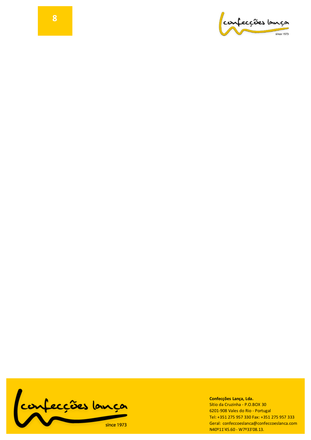confecções lança